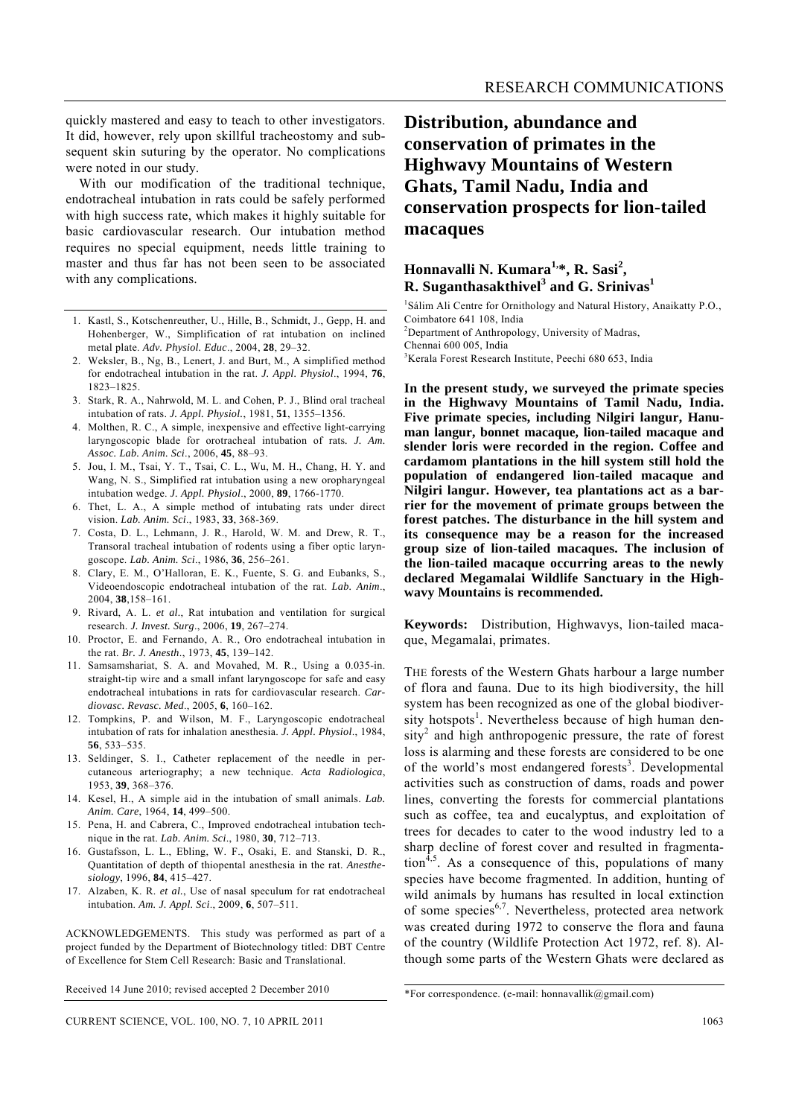quickly mastered and easy to teach to other investigators. It did, however, rely upon skillful tracheostomy and subsequent skin suturing by the operator. No complications were noted in our study.

 With our modification of the traditional technique, endotracheal intubation in rats could be safely performed with high success rate, which makes it highly suitable for basic cardiovascular research. Our intubation method requires no special equipment, needs little training to master and thus far has not been seen to be associated with any complications.

- 1. Kastl, S., Kotschenreuther, U., Hille, B., Schmidt, J., Gepp, H. and Hohenberger, W., Simplification of rat intubation on inclined metal plate. *Adv. Physiol. Educ*., 2004, **28**, 29–32.
- 2. Weksler, B., Ng, B., Lenert, J. and Burt, M., A simplified method for endotracheal intubation in the rat. *J. Appl. Physiol*., 1994, **76**, 1823–1825.
- 3. Stark, R. A., Nahrwold, M. L. and Cohen, P. J., Blind oral tracheal intubation of rats. *J. Appl. Physiol.*, 1981, **51**, 1355–1356.
- 4. Molthen, R. C., A simple, inexpensive and effective light-carrying laryngoscopic blade for orotracheal intubation of rats*. J. Am. Assoc. Lab. Anim. Sci*., 2006, **45**, 88–93.
- 5. Jou, I. M., Tsai, Y. T., Tsai, C. L., Wu, M. H., Chang, H. Y. and Wang, N. S., Simplified rat intubation using a new oropharyngeal intubation wedge. *J. Appl. Physiol*., 2000, **89**, 1766-1770.
- 6. Thet, L. A., A simple method of intubating rats under direct vision. *Lab. Anim. Sci*., 1983, **33**, 368-369.
- 7. Costa, D. L., Lehmann, J. R., Harold, W. M. and Drew, R. T., Transoral tracheal intubation of rodents using a fiber optic laryngoscope. *Lab. Anim. Sci*., 1986, **36**, 256–261.
- 8. Clary, E. M., O'Halloran, E. K., Fuente, S. G. and Eubanks, S., Videoendoscopic endotracheal intubation of the rat. *Lab. Anim*., 2004, **38**,158–161.
- 9. Rivard, A. L. *et al.*, Rat intubation and ventilation for surgical research. *J. Invest. Surg*., 2006, **19**, 267–274.
- 10. Proctor, E. and Fernando, A. R., Oro endotracheal intubation in the rat. *Br. J. Anesth*., 1973, **45**, 139–142.
- 11. Samsamshariat, S. A. and Movahed, M. R., Using a 0.035-in. straight-tip wire and a small infant laryngoscope for safe and easy endotracheal intubations in rats for cardiovascular research. *Cardiovasc. Revasc. Med*., 2005, **6**, 160–162.
- 12. Tompkins, P. and Wilson, M. F., Laryngoscopic endotracheal intubation of rats for inhalation anesthesia. *J. Appl. Physiol*., 1984, **56**, 533–535.
- 13. Seldinger, S. I., Catheter replacement of the needle in percutaneous arteriography; a new technique. *Acta Radiologica*, 1953, **39**, 368–376.
- 14. Kesel, H., A simple aid in the intubation of small animals. *Lab. Anim. Care*, 1964, **14**, 499–500.
- 15. Pena, H. and Cabrera, C., Improved endotracheal intubation technique in the rat. *Lab. Anim. Sci*., 1980, **30**, 712–713.
- 16. Gustafsson, L. L., Ebling, W. F., Osaki, E. and Stanski, D. R., Quantitation of depth of thiopental anesthesia in the rat. *Anesthesiology*, 1996, **84**, 415–427.
- 17. Alzaben, K. R. *et al.*, Use of nasal speculum for rat endotracheal intubation. *Am. J. Appl. Sci*., 2009, **6**, 507–511.

ACKNOWLEDGEMENTS. This study was performed as part of a project funded by the Department of Biotechnology titled: DBT Centre of Excellence for Stem Cell Research: Basic and Translational.

Received 14 June 2010; revised accepted 2 December 2010

## **Distribution, abundance and conservation of primates in the Highwavy Mountains of Western Ghats, Tamil Nadu, India and conservation prospects for lion-tailed macaques**

## Honnavalli N. Kumara<sup>1,\*</sup>, R. Sasi<sup>2</sup>, **R. Suganthasakthivel<sup>3</sup> and G. Srinivas<sup>1</sup>**

1 Sálim Ali Centre for Ornithology and Natural History, Anaikatty P.O., Coimbatore 641 108, India

<sup>2</sup>Department of Anthropology, University of Madras, Chennai 600 005, India

3 Kerala Forest Research Institute, Peechi 680 653, India

**In the present study, we surveyed the primate species in the Highwavy Mountains of Tamil Nadu, India. Five primate species, including Nilgiri langur, Hanuman langur, bonnet macaque, lion-tailed macaque and slender loris were recorded in the region. Coffee and cardamom plantations in the hill system still hold the population of endangered lion-tailed macaque and Nilgiri langur. However, tea plantations act as a barrier for the movement of primate groups between the forest patches. The disturbance in the hill system and its consequence may be a reason for the increased group size of lion-tailed macaques. The inclusion of the lion-tailed macaque occurring areas to the newly declared Megamalai Wildlife Sanctuary in the Highwavy Mountains is recommended.** 

**Keywords:** Distribution, Highwavys, lion-tailed macaque, Megamalai, primates.

THE forests of the Western Ghats harbour a large number of flora and fauna. Due to its high biodiversity, the hill system has been recognized as one of the global biodiversity hotspots<sup>1</sup>. Nevertheless because of high human den $sity<sup>2</sup>$  and high anthropogenic pressure, the rate of forest loss is alarming and these forests are considered to be one of the world's most endangered forests<sup>3</sup>. Developmental activities such as construction of dams, roads and power lines, converting the forests for commercial plantations such as coffee, tea and eucalyptus, and exploitation of trees for decades to cater to the wood industry led to a sharp decline of forest cover and resulted in fragmentation<sup>4,5</sup>. As a consequence of this, populations of many species have become fragmented. In addition, hunting of wild animals by humans has resulted in local extinction of some species<sup>6,7</sup>. Nevertheless, protected area network was created during 1972 to conserve the flora and fauna of the country (Wildlife Protection Act 1972, ref. 8). Although some parts of the Western Ghats were declared as

<sup>\*</sup>For correspondence. (e-mail: honnavallik@gmail.com)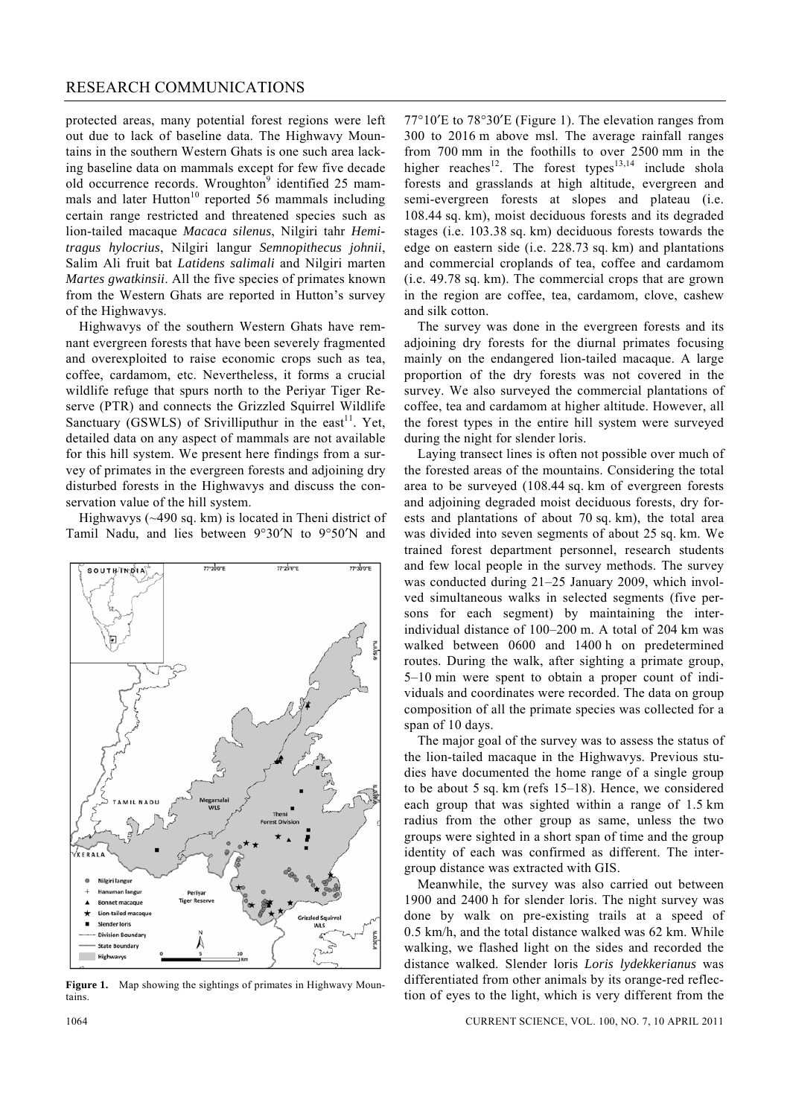## RESEARCH COMMUNICATIONS

protected areas, many potential forest regions were left out due to lack of baseline data. The Highwavy Mountains in the southern Western Ghats is one such area lacking baseline data on mammals except for few five decade old occurrence records. Wroughton<sup>9</sup> identified 25 mammals and later Hutton<sup>10</sup> reported 56 mammals including certain range restricted and threatened species such as lion-tailed macaque *Macaca silenus*, Nilgiri tahr *Hemitragus hylocrius*, Nilgiri langur *Semnopithecus johnii*, Salim Ali fruit bat *Latidens salimali* and Nilgiri marten *Martes gwatkinsii*. All the five species of primates known from the Western Ghats are reported in Hutton's survey of the Highwavys.

 Highwavys of the southern Western Ghats have remnant evergreen forests that have been severely fragmented and overexploited to raise economic crops such as tea, coffee, cardamom, etc. Nevertheless, it forms a crucial wildlife refuge that spurs north to the Periyar Tiger Reserve (PTR) and connects the Grizzled Squirrel Wildlife Sanctuary (GSWLS) of Srivilliputhur in the east<sup>11</sup>. Yet, detailed data on any aspect of mammals are not available for this hill system. We present here findings from a survey of primates in the evergreen forests and adjoining dry disturbed forests in the Highwavys and discuss the conservation value of the hill system.

 Highwavys (~490 sq. km) is located in Theni district of Tamil Nadu, and lies between 9°30′N to 9°50′N and



**Figure 1.** Map showing the sightings of primates in Highwavy Mountains.

77°10′E to 78°30′E (Figure 1). The elevation ranges from 300 to 2016 m above msl. The average rainfall ranges from 700 mm in the foothills to over 2500 mm in the higher reaches<sup>12</sup>. The forest types<sup>13,14</sup> include shola forests and grasslands at high altitude, evergreen and semi-evergreen forests at slopes and plateau (i.e. 108.44 sq. km), moist deciduous forests and its degraded stages (i.e. 103.38 sq. km) deciduous forests towards the edge on eastern side (i.e. 228.73 sq. km) and plantations and commercial croplands of tea, coffee and cardamom (i.e. 49.78 sq. km). The commercial crops that are grown in the region are coffee, tea, cardamom, clove, cashew and silk cotton.

 The survey was done in the evergreen forests and its adjoining dry forests for the diurnal primates focusing mainly on the endangered lion-tailed macaque. A large proportion of the dry forests was not covered in the survey. We also surveyed the commercial plantations of coffee, tea and cardamom at higher altitude. However, all the forest types in the entire hill system were surveyed during the night for slender loris.

 Laying transect lines is often not possible over much of the forested areas of the mountains. Considering the total area to be surveyed (108.44 sq. km of evergreen forests and adjoining degraded moist deciduous forests, dry forests and plantations of about 70 sq. km), the total area was divided into seven segments of about 25 sq. km. We trained forest department personnel, research students and few local people in the survey methods. The survey was conducted during 21–25 January 2009, which involved simultaneous walks in selected segments (five persons for each segment) by maintaining the interindividual distance of 100–200 m. A total of 204 km was walked between 0600 and 1400 h on predetermined routes. During the walk, after sighting a primate group, 5–10 min were spent to obtain a proper count of individuals and coordinates were recorded. The data on group composition of all the primate species was collected for a span of 10 days.

 The major goal of the survey was to assess the status of the lion-tailed macaque in the Highwavys. Previous studies have documented the home range of a single group to be about 5 sq. km (refs 15–18). Hence, we considered each group that was sighted within a range of 1.5 km radius from the other group as same, unless the two groups were sighted in a short span of time and the group identity of each was confirmed as different. The intergroup distance was extracted with GIS.

 Meanwhile, the survey was also carried out between 1900 and 2400 h for slender loris. The night survey was done by walk on pre-existing trails at a speed of 0.5 km/h, and the total distance walked was 62 km. While walking, we flashed light on the sides and recorded the distance walked. Slender loris *Loris lydekkerianus* was differentiated from other animals by its orange-red reflection of eyes to the light, which is very different from the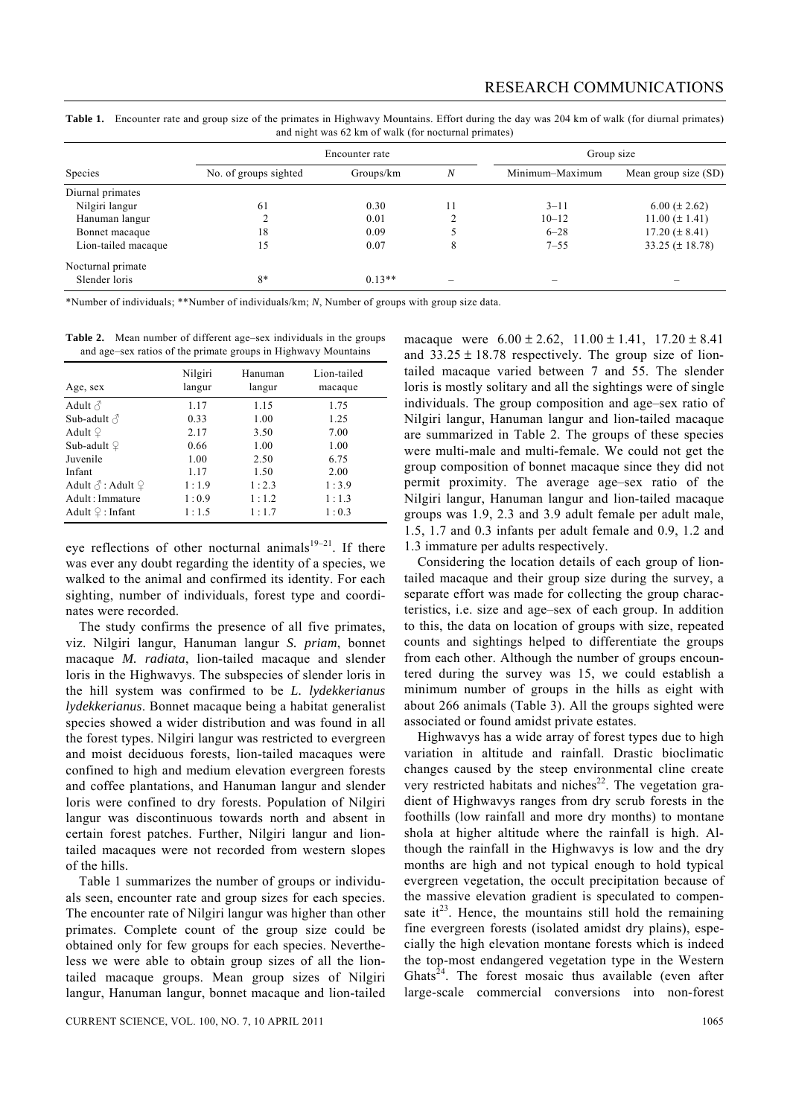**Table 1.** Encounter rate and group size of the primates in Highwavy Mountains. Effort during the day was 204 km of walk (for diurnal primates) and night was 62 km of walk (for nocturnal primates)

| Species             | Encounter rate        |           |    | Group size      |                      |  |
|---------------------|-----------------------|-----------|----|-----------------|----------------------|--|
|                     | No. of groups sighted | Groups/km | N  | Minimum-Maximum | Mean group size (SD) |  |
| Diurnal primates    |                       |           |    |                 |                      |  |
| Nilgiri langur      | 61                    | 0.30      | 11 | $3 - 11$        | $6.00 (\pm 2.62)$    |  |
| Hanuman langur      |                       | 0.01      |    | $10 - 12$       | $11.00 (\pm 1.41)$   |  |
| Bonnet macaque      | 18                    | 0.09      |    | $6 - 28$        | $17.20 (\pm 8.41)$   |  |
| Lion-tailed macaque | 15                    | 0.07      | 8  | $7 - 55$        | 33.25 ( $\pm$ 18.78) |  |
| Nocturnal primate   |                       |           |    |                 |                      |  |
| Slender loris       | $8*$                  | $0.13**$  |    |                 |                      |  |

\*Number of individuals; \*\*Number of individuals/km; *N*, Number of groups with group size data.

**Table 2.** Mean number of different age–sex individuals in the groups and age–sex ratios of the primate groups in Highwavy Mountains

| Age, sex                            | Nilgiri<br>langur | Hanuman<br>langur | Lion-tailed<br>macaque |
|-------------------------------------|-------------------|-------------------|------------------------|
| Adult $\triangle$                   | 1.17              | 1.15              | 1.75                   |
| Sub-adult $\triangle$               | 0.33              | 1.00              | 1.25                   |
| Adult $\varphi$                     | 2.17              | 3.50              | 7.00                   |
| Sub-adult $\mathcal Q$              | 0.66              | 1.00              | 1.00                   |
| Juvenile                            | 1.00              | 2.50              | 6.75                   |
| Infant                              | 1.17              | 1.50              | 2.00                   |
| Adult $\Diamond$ : Adult $\Diamond$ | 1:1.9             | 1:2.3             | 1:3.9                  |
| Adult : Immature                    | 1:0.9             | 1:1.2             | 1:1.3                  |
| Adult $\mathcal{Q}$ : Infant        | 1:1.5             | 1:1.7             | 1:0.3                  |

eye reflections of other nocturnal animals $19-21$ . If there was ever any doubt regarding the identity of a species, we walked to the animal and confirmed its identity. For each sighting, number of individuals, forest type and coordinates were recorded.

 The study confirms the presence of all five primates, viz. Nilgiri langur, Hanuman langur *S. priam*, bonnet macaque *M. radiata*, lion-tailed macaque and slender loris in the Highwavys. The subspecies of slender loris in the hill system was confirmed to be *L. lydekkerianus lydekkerianus*. Bonnet macaque being a habitat generalist species showed a wider distribution and was found in all the forest types. Nilgiri langur was restricted to evergreen and moist deciduous forests, lion-tailed macaques were confined to high and medium elevation evergreen forests and coffee plantations, and Hanuman langur and slender loris were confined to dry forests. Population of Nilgiri langur was discontinuous towards north and absent in certain forest patches. Further, Nilgiri langur and liontailed macaques were not recorded from western slopes of the hills.

 Table 1 summarizes the number of groups or individuals seen, encounter rate and group sizes for each species. The encounter rate of Nilgiri langur was higher than other primates. Complete count of the group size could be obtained only for few groups for each species. Nevertheless we were able to obtain group sizes of all the liontailed macaque groups. Mean group sizes of Nilgiri langur, Hanuman langur, bonnet macaque and lion-tailed

CURRENT SCIENCE, VOL. 100, NO. 7, 10 APRIL 2011 1065

macaque were  $6.00 \pm 2.62$ ,  $11.00 \pm 1.41$ ,  $17.20 \pm 8.41$ and  $33.25 \pm 18.78$  respectively. The group size of liontailed macaque varied between 7 and 55. The slender loris is mostly solitary and all the sightings were of single individuals. The group composition and age–sex ratio of Nilgiri langur, Hanuman langur and lion-tailed macaque are summarized in Table 2. The groups of these species were multi-male and multi-female. We could not get the group composition of bonnet macaque since they did not permit proximity. The average age–sex ratio of the Nilgiri langur, Hanuman langur and lion-tailed macaque groups was 1.9, 2.3 and 3.9 adult female per adult male, 1.5, 1.7 and 0.3 infants per adult female and 0.9, 1.2 and 1.3 immature per adults respectively.

 Considering the location details of each group of liontailed macaque and their group size during the survey, a separate effort was made for collecting the group characteristics, i.e. size and age–sex of each group. In addition to this, the data on location of groups with size, repeated counts and sightings helped to differentiate the groups from each other. Although the number of groups encountered during the survey was 15, we could establish a minimum number of groups in the hills as eight with about 266 animals (Table 3). All the groups sighted were associated or found amidst private estates.

 Highwavys has a wide array of forest types due to high variation in altitude and rainfall. Drastic bioclimatic changes caused by the steep environmental cline create very restricted habitats and niches<sup>22</sup>. The vegetation gradient of Highwavys ranges from dry scrub forests in the foothills (low rainfall and more dry months) to montane shola at higher altitude where the rainfall is high. Although the rainfall in the Highwavys is low and the dry months are high and not typical enough to hold typical evergreen vegetation, the occult precipitation because of the massive elevation gradient is speculated to compensate  $it^{23}$ . Hence, the mountains still hold the remaining fine evergreen forests (isolated amidst dry plains), especially the high elevation montane forests which is indeed the top-most endangered vegetation type in the Western Ghats<sup>24</sup>. The forest mosaic thus available (even after large-scale commercial conversions into non-forest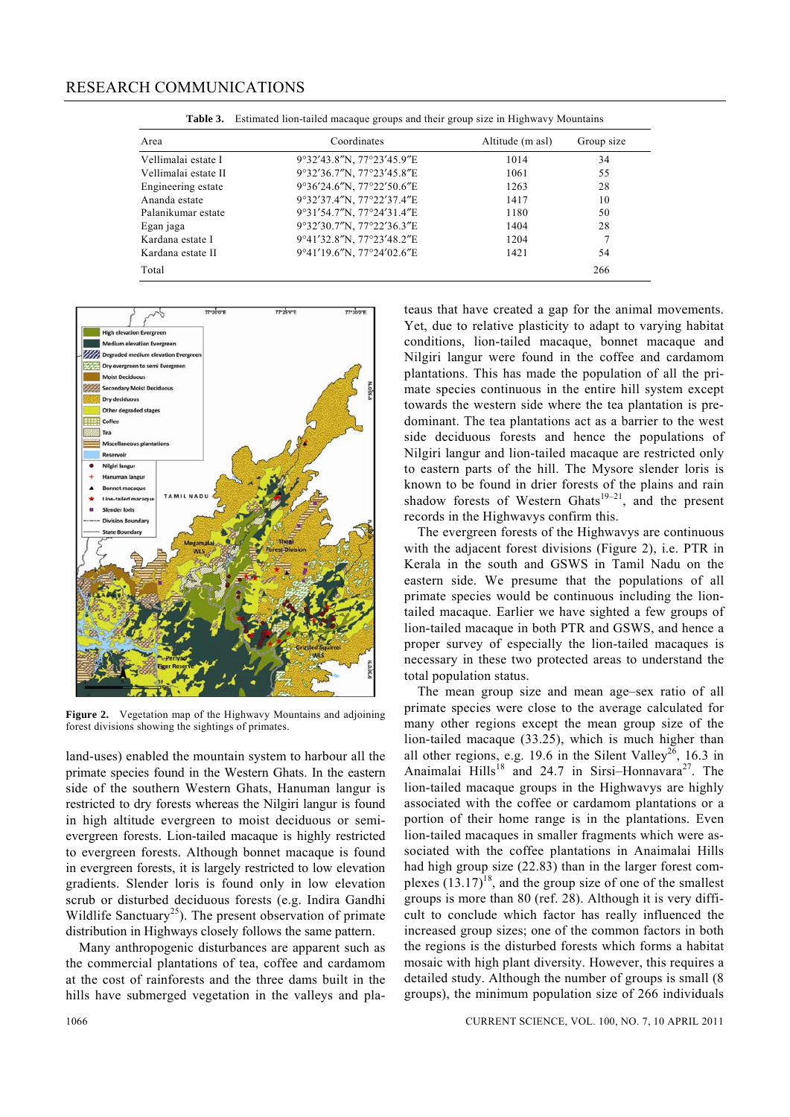| Area                 | Coordinates               | Altitude (m asl) | Group size |
|----------------------|---------------------------|------------------|------------|
| Vellimalai estate I  | 9°32'43.8"N, 77°23'45.9"E | 1014             | 34         |
| Vellimalai estate II | 9°32'36.7"N, 77°23'45.8"E | 1061             | 55         |
| Engineering estate   | 9°36'24.6"N, 77°22'50.6"E | 1263             | 28         |
| Ananda estate        | 9°32'37.4"N, 77°22'37.4"E | 1417             | 10         |
| Palanikumar estate   | 9°31'54.7"N, 77°24'31.4"E | 1180             | 50         |
| Egan jaga            | 9°32'30.7"N, 77°22'36.3"E | 1404             | 28         |
| Kardana estate I     | 9°41'32.8"N, 77°23'48.2"E | 1204             |            |
| Kardana estate II    | 9°41'19.6"N, 77°24'02.6"E | 1421             | 54         |
| Total                |                           |                  | 266        |

**Table 3.** Estimated lion-tailed macaque groups and their group size in Highwavy Mountains



**Figure 2.** Vegetation map of the Highwavy Mountains and adjoining forest divisions showing the sightings of primates.

land-uses) enabled the mountain system to harbour all the primate species found in the Western Ghats. In the eastern side of the southern Western Ghats, Hanuman langur is restricted to dry forests whereas the Nilgiri langur is found in high altitude evergreen to moist deciduous or semievergreen forests. Lion-tailed macaque is highly restricted to evergreen forests. Although bonnet macaque is found in evergreen forests, it is largely restricted to low elevation gradients. Slender loris is found only in low elevation scrub or disturbed deciduous forests (e.g. Indira Gandhi Wildlife Sanctuary<sup>25</sup>). The present observation of primate distribution in Highways closely follows the same pattern.

 Many anthropogenic disturbances are apparent such as the commercial plantations of tea, coffee and cardamom at the cost of rainforests and the three dams built in the hills have submerged vegetation in the valleys and plateaus that have created a gap for the animal movements. Yet, due to relative plasticity to adapt to varying habitat conditions, lion-tailed macaque, bonnet macaque and Nilgiri langur were found in the coffee and cardamom plantations. This has made the population of all the primate species continuous in the entire hill system except towards the western side where the tea plantation is predominant. The tea plantations act as a barrier to the west side deciduous forests and hence the populations of Nilgiri langur and lion-tailed macaque are restricted only to eastern parts of the hill. The Mysore slender loris is known to be found in drier forests of the plains and rain shadow forests of Western Ghats<sup>19–21</sup>, and the present records in the Highwavys confirm this.

 The evergreen forests of the Highwavys are continuous with the adjacent forest divisions (Figure 2), i.e. PTR in Kerala in the south and GSWS in Tamil Nadu on the eastern side. We presume that the populations of all primate species would be continuous including the liontailed macaque. Earlier we have sighted a few groups of lion-tailed macaque in both PTR and GSWS, and hence a proper survey of especially the lion-tailed macaques is necessary in these two protected areas to understand the total population status.

 The mean group size and mean age–sex ratio of all primate species were close to the average calculated for many other regions except the mean group size of the lion-tailed macaque (33.25), which is much higher than all other regions, e.g. 19.6 in the Silent Valley<sup>26</sup>, 16.3 in Anaimalai Hills<sup>18</sup> and 24.7 in Sirsi–Honnavara<sup>27</sup>. The lion-tailed macaque groups in the Highwavys are highly associated with the coffee or cardamom plantations or a portion of their home range is in the plantations. Even lion-tailed macaques in smaller fragments which were associated with the coffee plantations in Anaimalai Hills had high group size (22.83) than in the larger forest complexes  $(13.17)^{18}$ , and the group size of one of the smallest groups is more than 80 (ref. 28). Although it is very difficult to conclude which factor has really influenced the increased group sizes; one of the common factors in both the regions is the disturbed forests which forms a habitat mosaic with high plant diversity. However, this requires a detailed study. Although the number of groups is small (8 groups), the minimum population size of 266 individuals